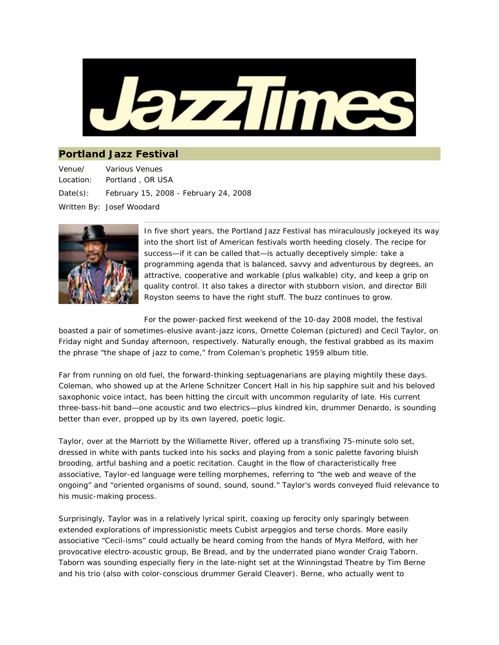

## **Portland Jazz Festival**

Venue/ Location: Various Venues Portland , OR USA Date(s): February 15, 2008 - February 24, 2008 Written By: Josef Woodard



In five short years, the Portland Jazz Festival has miraculously jockeyed its way into the short list of American festivals worth heeding closely. The recipe for success—if it can be called that—is actually deceptively simple: take a programming agenda that is balanced, savvy and adventurous by degrees, an attractive, cooperative and workable (plus *walkable*) city, and keep a grip on quality control. It also takes a director with stubborn vision, and director Bill Royston seems to have the right stuff. The buzz continues to grow.

For the power-packed first weekend of the 10-day 2008 model, the festival

boasted a pair of sometimes-elusive avant-jazz icons, Ornette Coleman (pictured) and Cecil Taylor, on Friday night and Sunday afternoon, respectively. Naturally enough, the festival grabbed as its maxim the phrase "the shape of jazz to come," from Coleman's prophetic 1959 album title.

Far from running on old fuel, the forward-thinking septuagenarians are playing mightily these days. Coleman, who showed up at the Arlene Schnitzer Concert Hall in his hip sapphire suit and his beloved saxophonic voice intact, has been hitting the circuit with uncommon regularity of late. His current three-bass-hit band—one acoustic and two electrics—plus kindred kin, drummer Denardo, is sounding better than ever, propped up by its own layered, poetic logic.

Taylor, over at the Marriott by the Willamette River, offered up a transfixing 75-minute solo set, dressed in white with pants tucked into his socks and playing from a sonic palette favoring bluish brooding, artful bashing and a poetic recitation. Caught in the flow of characteristically free associative, Taylor-ed language were telling morphemes, referring to "the web and weave of the ongoing" and "oriented organisms of sound, sound, sound." Taylor's words conveyed fluid relevance to his music-making process.

Surprisingly, Taylor was in a relatively lyrical spirit, coaxing up ferocity only sparingly between extended explorations of impressionistic meets Cubist arpeggios and terse chords. More easily associative "Cecil-isms" could actually be heard coming from the hands of Myra Melford, with her provocative electro-acoustic group, Be Bread, and by the underrated piano wonder Craig Taborn. Taborn was sounding especially fiery in the late-night set at the Winningstad Theatre by Tim Berne and his trio (also with color-conscious drummer Gerald Cleaver). Berne, who actually went to